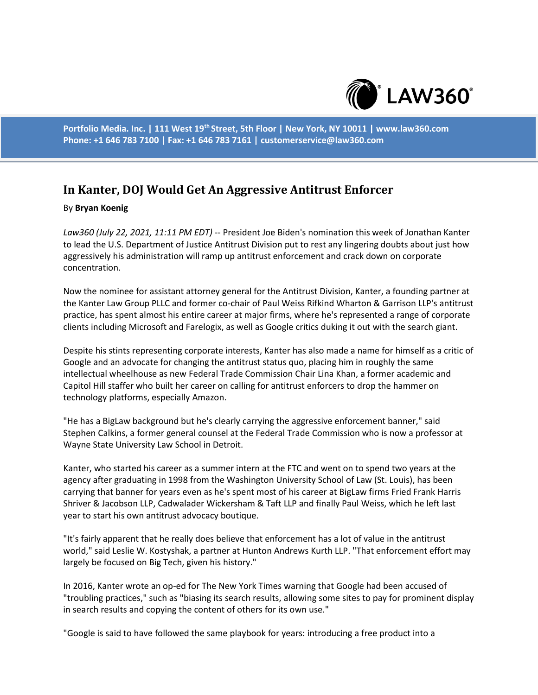

**Portfolio Media. Inc. | 111 West 19th Street, 5th Floor | New York, NY 10011 | www.law360.com Phone: +1 646 783 7100 | Fax: +1 646 783 7161 | customerservice@law360.com**

## **In Kanter, DOJ Would Get An Aggressive Antitrust Enforcer**

## By **Bryan Koenig**

*Law360 (July 22, 2021, 11:11 PM EDT)* -- President Joe Biden's nomination this week of Jonathan Kanter to lead the U.S. Department of Justice Antitrust Division put to rest any lingering doubts about just how aggressively his administration will ramp up antitrust enforcement and crack down on corporate concentration.

Now the nominee for assistant attorney general for the Antitrust Division, Kanter, a founding partner at the Kanter Law Group PLLC and former co-chair of Paul Weiss Rifkind Wharton & Garrison LLP's antitrust practice, has spent almost his entire career at major firms, where he's represented a range of corporate clients including Microsoft and Farelogix, as well as Google critics duking it out with the search giant.

Despite his stints representing corporate interests, Kanter has also made a name for himself as a critic of Google and an advocate for changing the antitrust status quo, placing him in roughly the same intellectual wheelhouse as new Federal Trade Commission Chair Lina Khan, a former academic and Capitol Hill staffer who built her career on calling for antitrust enforcers to drop the hammer on technology platforms, especially Amazon.

"He has a BigLaw background but he's clearly carrying the aggressive enforcement banner," said Stephen Calkins, a former general counsel at the Federal Trade Commission who is now a professor at Wayne State University Law School in Detroit.

Kanter, who started his career as a summer intern at the FTC and went on to spend two years at the agency after graduating in 1998 from the Washington University School of Law (St. Louis), has been carrying that banner for years even as he's spent most of his career at BigLaw firms Fried Frank Harris Shriver & Jacobson LLP, Cadwalader Wickersham & Taft LLP and finally Paul Weiss, which he left last year to start his own antitrust advocacy boutique.

"It's fairly apparent that he really does believe that enforcement has a lot of value in the antitrust world," said Leslie W. Kostyshak, a partner at Hunton Andrews Kurth LLP. "That enforcement effort may largely be focused on Big Tech, given his history."

In 2016, Kanter wrote an op-ed for The New York Times warning that Google had been accused of "troubling practices," such as "biasing its search results, allowing some sites to pay for prominent display in search results and copying the content of others for its own use."

"Google is said to have followed the same playbook for years: introducing a free product into a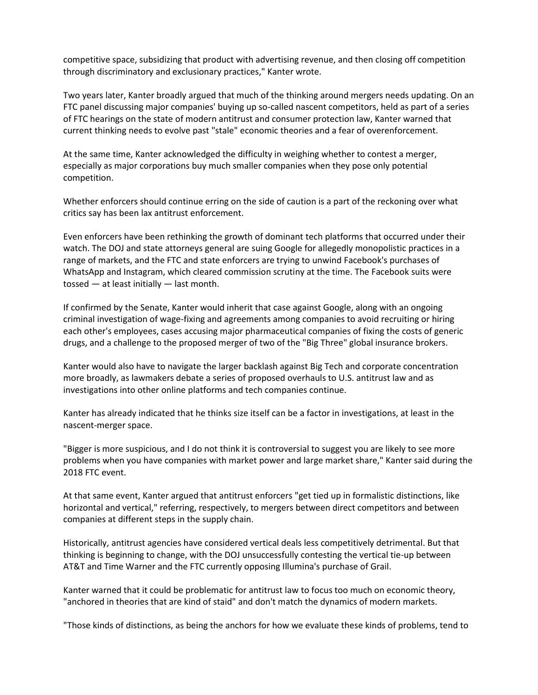competitive space, subsidizing that product with advertising revenue, and then closing off competition through discriminatory and exclusionary practices," Kanter wrote.

Two years later, Kanter broadly argued that much of the thinking around mergers needs updating. On an FTC panel discussing major companies' buying up so-called nascent competitors, held as part of a series of FTC hearings on the state of modern antitrust and consumer protection law, Kanter warned that current thinking needs to evolve past "stale" economic theories and a fear of overenforcement.

At the same time, Kanter acknowledged the difficulty in weighing whether to contest a merger, especially as major corporations buy much smaller companies when they pose only potential competition.

Whether enforcers should continue erring on the side of caution is a part of the reckoning over what critics say has been lax antitrust enforcement.

Even enforcers have been rethinking the growth of dominant tech platforms that occurred under their watch. The DOJ and state attorneys general are suing Google for allegedly monopolistic practices in a range of markets, and the FTC and state enforcers are trying to unwind Facebook's purchases of WhatsApp and Instagram, which cleared commission scrutiny at the time. The Facebook suits were tossed — at least initially — last month.

If confirmed by the Senate, Kanter would inherit that case against Google, along with an ongoing criminal investigation of wage-fixing and agreements among companies to avoid recruiting or hiring each other's employees, cases accusing major pharmaceutical companies of fixing the costs of generic drugs, and a challenge to the proposed merger of two of the "Big Three" global insurance brokers.

Kanter would also have to navigate the larger backlash against Big Tech and corporate concentration more broadly, as lawmakers debate a series of proposed overhauls to U.S. antitrust law and as investigations into other online platforms and tech companies continue.

Kanter has already indicated that he thinks size itself can be a factor in investigations, at least in the nascent-merger space.

"Bigger is more suspicious, and I do not think it is controversial to suggest you are likely to see more problems when you have companies with market power and large market share," Kanter said during the 2018 FTC event.

At that same event, Kanter argued that antitrust enforcers "get tied up in formalistic distinctions, like horizontal and vertical," referring, respectively, to mergers between direct competitors and between companies at different steps in the supply chain.

Historically, antitrust agencies have considered vertical deals less competitively detrimental. But that thinking is beginning to change, with the DOJ unsuccessfully contesting the vertical tie-up between AT&T and Time Warner and the FTC currently opposing Illumina's purchase of Grail.

Kanter warned that it could be problematic for antitrust law to focus too much on economic theory, "anchored in theories that are kind of staid" and don't match the dynamics of modern markets.

"Those kinds of distinctions, as being the anchors for how we evaluate these kinds of problems, tend to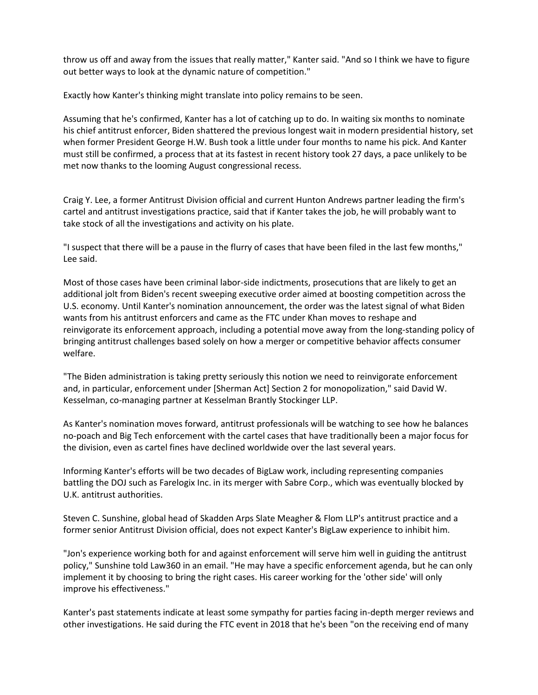throw us off and away from the issues that really matter," Kanter said. "And so I think we have to figure out better ways to look at the dynamic nature of competition."

Exactly how Kanter's thinking might translate into policy remains to be seen.

Assuming that he's confirmed, Kanter has a lot of catching up to do. In waiting six months to nominate his chief antitrust enforcer, Biden shattered the previous longest wait in modern presidential history, set when former President George H.W. Bush took a little under four months to name his pick. And Kanter must still be confirmed, a process that at its fastest in recent history took 27 days, a pace unlikely to be met now thanks to the looming August congressional recess.

Craig Y. Lee, a former Antitrust Division official and current Hunton Andrews partner leading the firm's cartel and antitrust investigations practice, said that if Kanter takes the job, he will probably want to take stock of all the investigations and activity on his plate.

"I suspect that there will be a pause in the flurry of cases that have been filed in the last few months," Lee said.

Most of those cases have been criminal labor-side indictments, prosecutions that are likely to get an additional jolt from Biden's recent sweeping executive order aimed at boosting competition across the U.S. economy. Until Kanter's nomination announcement, the order was the latest signal of what Biden wants from his antitrust enforcers and came as the FTC under Khan moves to reshape and reinvigorate its enforcement approach, including a potential move away from the long-standing policy of bringing antitrust challenges based solely on how a merger or competitive behavior affects consumer welfare.

"The Biden administration is taking pretty seriously this notion we need to reinvigorate enforcement and, in particular, enforcement under [Sherman Act] Section 2 for monopolization," said David W. Kesselman, co-managing partner at Kesselman Brantly Stockinger LLP.

As Kanter's nomination moves forward, antitrust professionals will be watching to see how he balances no-poach and Big Tech enforcement with the cartel cases that have traditionally been a major focus for the division, even as cartel fines have declined worldwide over the last several years.

Informing Kanter's efforts will be two decades of BigLaw work, including representing companies battling the DOJ such as Farelogix Inc. in its merger with Sabre Corp., which was eventually blocked by U.K. antitrust authorities.

Steven C. Sunshine, global head of Skadden Arps Slate Meagher & Flom LLP's antitrust practice and a former senior Antitrust Division official, does not expect Kanter's BigLaw experience to inhibit him.

"Jon's experience working both for and against enforcement will serve him well in guiding the antitrust policy," Sunshine told Law360 in an email. "He may have a specific enforcement agenda, but he can only implement it by choosing to bring the right cases. His career working for the 'other side' will only improve his effectiveness."

Kanter's past statements indicate at least some sympathy for parties facing in-depth merger reviews and other investigations. He said during the FTC event in 2018 that he's been "on the receiving end of many